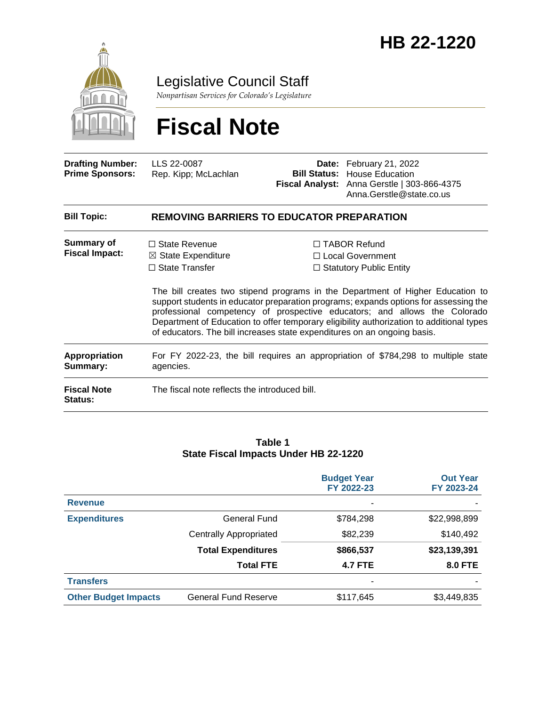

Legislative Council Staff

*Nonpartisan Services for Colorado's Legislature*

# **Fiscal Note**

| <b>Drafting Number:</b><br><b>Prime Sponsors:</b> | LLS 22-0087<br>Rep. Kipp; McLachlan | <b>Date:</b> February 21, 2022<br><b>Bill Status: House Education</b><br><b>Fiscal Analyst:</b> Anna Gerstle   303-866-4375 |
|---------------------------------------------------|-------------------------------------|-----------------------------------------------------------------------------------------------------------------------------|
|                                                   |                                     | Anna.Gerstle@state.co.us                                                                                                    |

| <b>Bill Topic:</b>                         | <b>REMOVING BARRIERS TO EDUCATOR PREPARATION</b>                                               |                                                                                                                                                                                                                                                                                                                                                                                                                             |  |
|--------------------------------------------|------------------------------------------------------------------------------------------------|-----------------------------------------------------------------------------------------------------------------------------------------------------------------------------------------------------------------------------------------------------------------------------------------------------------------------------------------------------------------------------------------------------------------------------|--|
| <b>Summary of</b><br><b>Fiscal Impact:</b> | $\Box$ State Revenue<br>$\boxtimes$ State Expenditure                                          | $\Box$ TABOR Refund<br>$\Box$ Local Government                                                                                                                                                                                                                                                                                                                                                                              |  |
|                                            | $\Box$ State Transfer                                                                          | $\Box$ Statutory Public Entity                                                                                                                                                                                                                                                                                                                                                                                              |  |
|                                            |                                                                                                | The bill creates two stipend programs in the Department of Higher Education to<br>support students in educator preparation programs; expands options for assessing the<br>professional competency of prospective educators; and allows the Colorado<br>Department of Education to offer temporary eligibility authorization to additional types<br>of educators. The bill increases state expenditures on an ongoing basis. |  |
| Appropriation<br>Summary:                  | For FY 2022-23, the bill requires an appropriation of \$784,298 to multiple state<br>agencies. |                                                                                                                                                                                                                                                                                                                                                                                                                             |  |
| <b>Fiscal Note</b><br><b>Status:</b>       | The fiscal note reflects the introduced bill.                                                  |                                                                                                                                                                                                                                                                                                                                                                                                                             |  |
|                                            |                                                                                                |                                                                                                                                                                                                                                                                                                                                                                                                                             |  |

#### **Table 1 State Fiscal Impacts Under HB 22-1220**

|                             |                               | <b>Budget Year</b><br>FY 2022-23 | <b>Out Year</b><br>FY 2023-24 |
|-----------------------------|-------------------------------|----------------------------------|-------------------------------|
| <b>Revenue</b>              |                               |                                  |                               |
| <b>Expenditures</b>         | General Fund                  | \$784,298                        | \$22,998,899                  |
|                             | <b>Centrally Appropriated</b> | \$82,239                         | \$140,492                     |
|                             | <b>Total Expenditures</b>     | \$866,537                        | \$23,139,391                  |
|                             | <b>Total FTE</b>              | <b>4.7 FTE</b>                   | <b>8.0 FTE</b>                |
| <b>Transfers</b>            |                               | $\overline{\phantom{a}}$         |                               |
| <b>Other Budget Impacts</b> | <b>General Fund Reserve</b>   | \$117,645                        | \$3,449,835                   |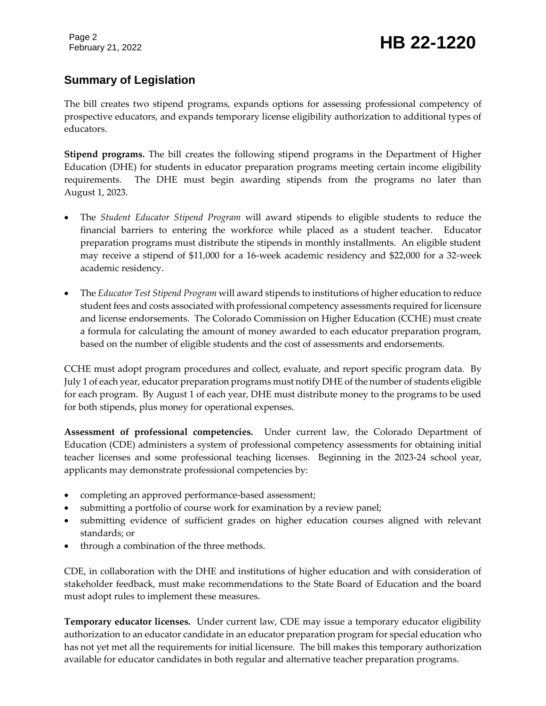# February 21, 2022 **HB 22-1220**

## **Summary of Legislation**

The bill creates two stipend programs, expands options for assessing professional competency of prospective educators, and expands temporary license eligibility authorization to additional types of educators.

**Stipend programs.** The bill creates the following stipend programs in the Department of Higher Education (DHE) for students in educator preparation programs meeting certain income eligibility requirements. The DHE must begin awarding stipends from the programs no later than August 1, 2023.

- The *Student Educator Stipend Program* will award stipends to eligible students to reduce the financial barriers to entering the workforce while placed as a student teacher. Educator preparation programs must distribute the stipends in monthly installments. An eligible student may receive a stipend of \$11,000 for a 16-week academic residency and \$22,000 for a 32-week academic residency.
- The *Educator Test Stipend Program* will award stipends to institutions of higher education to reduce student fees and costs associated with professional competency assessments required for licensure and license endorsements. The Colorado Commission on Higher Education (CCHE) must create a formula for calculating the amount of money awarded to each educator preparation program, based on the number of eligible students and the cost of assessments and endorsements.

CCHE must adopt program procedures and collect, evaluate, and report specific program data. By July 1 of each year, educator preparation programs must notify DHE of the number of students eligible for each program. By August 1 of each year, DHE must distribute money to the programs to be used for both stipends, plus money for operational expenses.

**Assessment of professional competencies.** Under current law, the Colorado Department of Education (CDE) administers a system of professional competency assessments for obtaining initial teacher licenses and some professional teaching licenses. Beginning in the 2023-24 school year, applicants may demonstrate professional competencies by:

- completing an approved performance-based assessment;
- submitting a portfolio of course work for examination by a review panel;
- submitting evidence of sufficient grades on higher education courses aligned with relevant standards; or
- through a combination of the three methods.

CDE, in collaboration with the DHE and institutions of higher education and with consideration of stakeholder feedback, must make recommendations to the State Board of Education and the board must adopt rules to implement these measures.

**Temporary educator licenses.** Under current law, CDE may issue a temporary educator eligibility authorization to an educator candidate in an educator preparation program for special education who has not yet met all the requirements for initial licensure. The bill makes this temporary authorization available for educator candidates in both regular and alternative teacher preparation programs.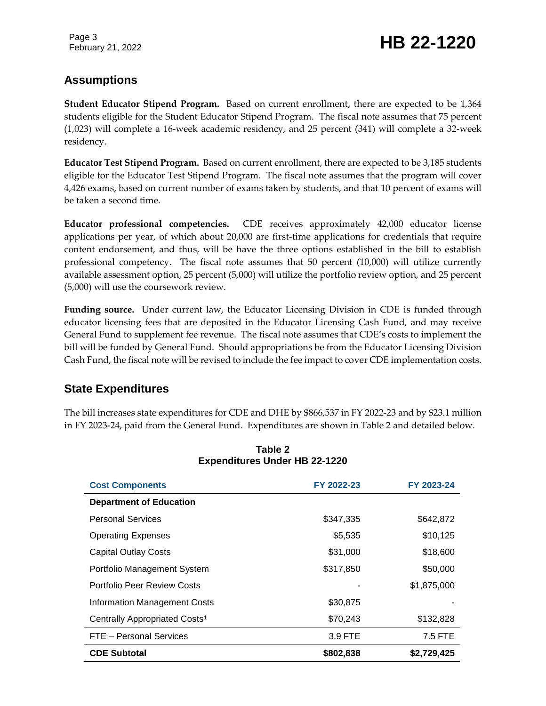# February 21, 2022 **HB 22-1220**

### **Assumptions**

**Student Educator Stipend Program.** Based on current enrollment, there are expected to be 1,364 students eligible for the Student Educator Stipend Program. The fiscal note assumes that 75 percent (1,023) will complete a 16-week academic residency, and 25 percent (341) will complete a 32-week residency.

**Educator Test Stipend Program.** Based on current enrollment, there are expected to be 3,185 students eligible for the Educator Test Stipend Program. The fiscal note assumes that the program will cover 4,426 exams, based on current number of exams taken by students, and that 10 percent of exams will be taken a second time.

**Educator professional competencies.** CDE receives approximately 42,000 educator license applications per year, of which about 20,000 are first-time applications for credentials that require content endorsement, and thus, will be have the three options established in the bill to establish professional competency. The fiscal note assumes that 50 percent (10,000) will utilize currently available assessment option, 25 percent (5,000) will utilize the portfolio review option, and 25 percent (5,000) will use the coursework review.

**Funding source.** Under current law, the Educator Licensing Division in CDE is funded through educator licensing fees that are deposited in the Educator Licensing Cash Fund, and may receive General Fund to supplement fee revenue. The fiscal note assumes that CDE's costs to implement the bill will be funded by General Fund. Should appropriations be from the Educator Licensing Division Cash Fund, the fiscal note will be revised to include the fee impact to cover CDE implementation costs.

### **State Expenditures**

The bill increases state expenditures for CDE and DHE by \$866,537 in FY 2022-23 and by \$23.1 million in FY 2023-24, paid from the General Fund. Expenditures are shown in Table 2 and detailed below.

| <b>Cost Components</b>                    | FY 2022-23 | FY 2023-24  |
|-------------------------------------------|------------|-------------|
| <b>Department of Education</b>            |            |             |
| <b>Personal Services</b>                  | \$347,335  | \$642,872   |
| <b>Operating Expenses</b>                 | \$5,535    | \$10,125    |
| <b>Capital Outlay Costs</b>               | \$31,000   | \$18,600    |
| Portfolio Management System               | \$317,850  | \$50,000    |
| Portfolio Peer Review Costs               |            | \$1,875,000 |
| <b>Information Management Costs</b>       | \$30,875   |             |
| Centrally Appropriated Costs <sup>1</sup> | \$70,243   | \$132,828   |
| FTE - Personal Services                   | 3.9 FTE    | 7.5 FTE     |
| <b>CDE Subtotal</b>                       | \$802,838  | \$2,729,425 |

#### **Table 2 Expenditures Under HB 22-1220**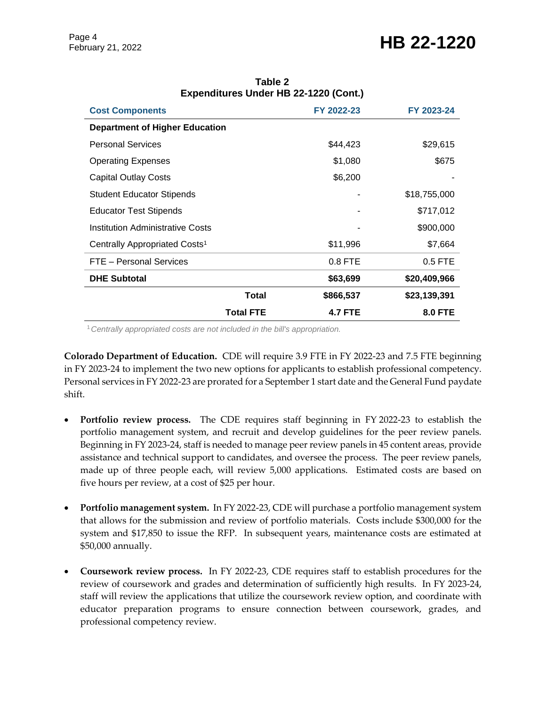# February 21, 2022 **HB 22-1220**

| <b>Cost Components</b>                    | FY 2022-23     | FY 2023-24     |
|-------------------------------------------|----------------|----------------|
| <b>Department of Higher Education</b>     |                |                |
| <b>Personal Services</b>                  | \$44,423       | \$29,615       |
| <b>Operating Expenses</b>                 | \$1,080        | \$675          |
| <b>Capital Outlay Costs</b>               | \$6,200        |                |
| <b>Student Educator Stipends</b>          |                | \$18,755,000   |
| <b>Educator Test Stipends</b>             |                | \$717,012      |
| Institution Administrative Costs          |                | \$900,000      |
| Centrally Appropriated Costs <sup>1</sup> | \$11,996       | \$7,664        |
| FTE - Personal Services                   | $0.8$ FTE      | $0.5$ FTE      |
| <b>DHE Subtotal</b>                       | \$63,699       | \$20,409,966   |
| Total                                     | \$866,537      | \$23,139,391   |
| <b>Total FTE</b>                          | <b>4.7 FTE</b> | <b>8.0 FTE</b> |

#### **Table 2 Expenditures Under HB 22-1220 (Cont.)**

<sup>1</sup>*Centrally appropriated costs are not included in the bill's appropriation.*

**Colorado Department of Education.** CDE will require 3.9 FTE in FY 2022-23 and 7.5 FTE beginning in FY 2023-24 to implement the two new options for applicants to establish professional competency. Personal services in FY 2022-23 are prorated for a September 1 start date and the General Fund paydate shift.

- **Portfolio review process.** The CDE requires staff beginning in FY 2022-23 to establish the portfolio management system, and recruit and develop guidelines for the peer review panels. Beginning in FY 2023-24, staff is needed to manage peer review panels in 45 content areas, provide assistance and technical support to candidates, and oversee the process. The peer review panels, made up of three people each, will review 5,000 applications. Estimated costs are based on five hours per review, at a cost of \$25 per hour.
- **Portfolio management system.** In FY 2022-23, CDE will purchase a portfolio management system that allows for the submission and review of portfolio materials. Costs include \$300,000 for the system and \$17,850 to issue the RFP. In subsequent years, maintenance costs are estimated at \$50,000 annually.
- **Coursework review process.** In FY 2022-23, CDE requires staff to establish procedures for the review of coursework and grades and determination of sufficiently high results. In FY 2023-24, staff will review the applications that utilize the coursework review option, and coordinate with educator preparation programs to ensure connection between coursework, grades, and professional competency review.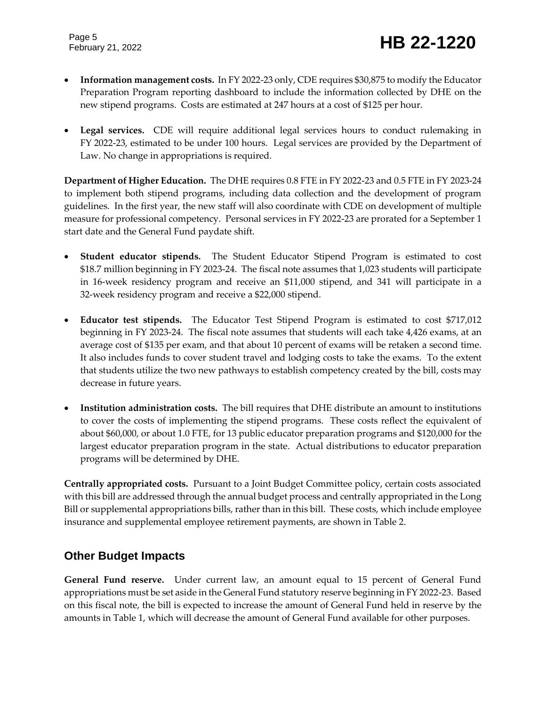- **Information management costs.** In FY 2022-23 only, CDE requires \$30,875 to modify the Educator Preparation Program reporting dashboard to include the information collected by DHE on the new stipend programs. Costs are estimated at 247 hours at a cost of \$125 per hour.
- **Legal services.** CDE will require additional legal services hours to conduct rulemaking in FY 2022-23, estimated to be under 100 hours. Legal services are provided by the Department of Law. No change in appropriations is required.

**Department of Higher Education.** The DHE requires 0.8 FTE in FY 2022-23 and 0.5 FTE in FY 2023-24 to implement both stipend programs, including data collection and the development of program guidelines. In the first year, the new staff will also coordinate with CDE on development of multiple measure for professional competency. Personal services in FY 2022-23 are prorated for a September 1 start date and the General Fund paydate shift.

- **Student educator stipends.** The Student Educator Stipend Program is estimated to cost \$18.7 million beginning in FY 2023-24. The fiscal note assumes that 1,023 students will participate in 16-week residency program and receive an \$11,000 stipend, and 341 will participate in a 32-week residency program and receive a \$22,000 stipend.
- **Educator test stipends.** The Educator Test Stipend Program is estimated to cost \$717,012 beginning in FY 2023-24. The fiscal note assumes that students will each take 4,426 exams, at an average cost of \$135 per exam, and that about 10 percent of exams will be retaken a second time. It also includes funds to cover student travel and lodging costs to take the exams. To the extent that students utilize the two new pathways to establish competency created by the bill, costs may decrease in future years.
- **Institution administration costs.** The bill requires that DHE distribute an amount to institutions to cover the costs of implementing the stipend programs. These costs reflect the equivalent of about \$60,000, or about 1.0 FTE, for 13 public educator preparation programs and \$120,000 for the largest educator preparation program in the state. Actual distributions to educator preparation programs will be determined by DHE.

**Centrally appropriated costs.** Pursuant to a Joint Budget Committee policy, certain costs associated with this bill are addressed through the annual budget process and centrally appropriated in the Long Bill or supplemental appropriations bills, rather than in this bill. These costs, which include employee insurance and supplemental employee retirement payments, are shown in Table 2.

### **Other Budget Impacts**

**General Fund reserve.** Under current law, an amount equal to 15 percent of General Fund appropriations must be set aside in the General Fund statutory reserve beginning in FY 2022-23. Based on this fiscal note, the bill is expected to increase the amount of General Fund held in reserve by the amounts in Table 1, which will decrease the amount of General Fund available for other purposes.